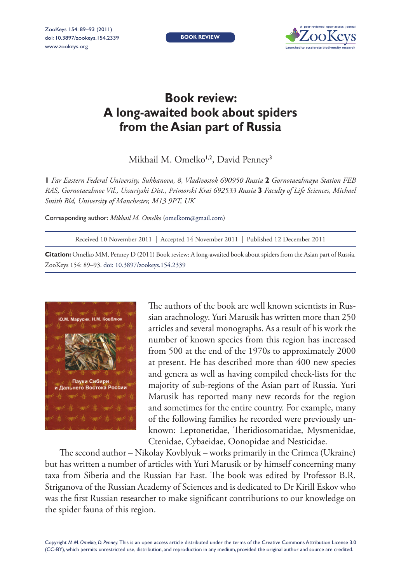**BOOK REVIEW**



## **Book review: A long-awaited book about spiders from the Asian part of Russia**

Mikhail M. Omelko<sup>1,2</sup>, David Penney<sup>3</sup>

**1** *Far Eastern Federal University, Sukhanova, 8, Vladivostok 690950 Russia* **2** *Gornotaezhnaya Station FEB RAS, Gornotaezhnoe Vil., Ussuriyski Dist., Primorski Krai 692533 Russia* **3** *Faculty of Life Sciences, Michael Smith Bld, University of Manchester, M13 9PT, UK*

Corresponding author: *Mikhail M. Omelko* ([omelkom@gmail.com](mailto:omelkom@gmail.com))

Received 10 November 2011 | Accepted 14 November 2011 | Published 12 December 2011

**Citation:** Omelko MM, Penney D (2011) Book review: A long-awaited book about spiders from the Asian part of Russia. ZooKeys 154: 89–93. [doi: 10.3897/zookeys.154.2339](http://dx.doi.org/10.3897/zookeys.154.2339)



The authors of the book are well known scientists in Russian arachnology. Yuri Marusik has written more than 250 articles and several monographs. As a result of his work the number of known species from this region has increased from 500 at the end of the 1970s to approximately 2000 at present. He has described more than 400 new species and genera as well as having compiled check-lists for the majority of sub-regions of the Asian part of Russia. Yuri Marusik has reported many new records for the region and sometimes for the entire country. For example, many of the following families he recorded were previously unknown: Leptonetidae, Theridiosomatidae, Mysmenidae, Ctenidae, Cybaeidae, Oonopidae and Nesticidae.

The second author – Nikolay Kovblyuk – works primarily in the Crimea (Ukraine) but has written a number of articles with Yuri Marusik or by himself concerning many taxa from Siberia and the Russian Far East. The book was edited by Professor B.R. Striganova of the Russian Academy of Sciences and is dedicated to Dr Kirill Eskov who was the first Russian researcher to make significant contributions to our knowledge on the spider fauna of this region.

Copyright *M.M. Omelko, D. Penney.* This is an open access article distributed under the terms of the [Creative Commons Attribution License 3.0](http://creativecommons.org/licenses/by/3.0/)  [\(CC-BY\),](http://creativecommons.org/licenses/by/3.0/) which permits unrestricted use, distribution, and reproduction in any medium, provided the original author and source are credited.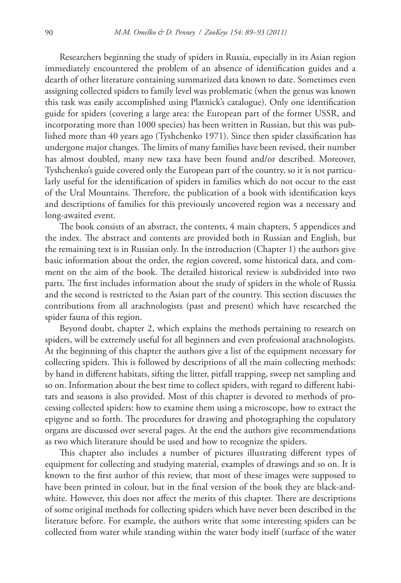Researchers beginning the study of spiders in Russia, especially in its Asian region immediately encountered the problem of an absence of identification guides and a dearth of other literature containing summarized data known to date. Sometimes even assigning collected spiders to family level was problematic (when the genus was known this task was easily accomplished using Platnick's catalogue). Only one identification guide for spiders (covering a large area: the European part of the former USSR, and incorporating more than 1000 species) has been written in Russian, but this was published more than 40 years ago (Tyshchenko 1971). Since then spider classification has undergone major changes. The limits of many families have been revised, their number has almost doubled, many new taxa have been found and/or described. Moreover, Tyshchenko's guide covered only the European part of the country, so it is not particularly useful for the identification of spiders in families which do not occur to the east of the Ural Mountains. Therefore, the publication of a book with identification keys and descriptions of families for this previously uncovered region was a necessary and long-awaited event.

The book consists of an abstract, the contents, 4 main chapters, 5 appendices and the index. The abstract and contents are provided both in Russian and English, but the remaining text is in Russian only. In the introduction (Chapter 1) the authors give basic information about the order, the region covered, some historical data, and comment on the aim of the book. The detailed historical review is subdivided into two parts. The first includes information about the study of spiders in the whole of Russia and the second is restricted to the Asian part of the country. This section discusses the contributions from all arachnologists (past and present) which have researched the spider fauna of this region.

Beyond doubt, chapter 2, which explains the methods pertaining to research on spiders, will be extremely useful for all beginners and even professional arachnologists. At the beginning of this chapter the authors give a list of the equipment necessary for collecting spiders. This is followed by descriptions of all the main collecting methods: by hand in different habitats, sifting the litter, pitfall trapping, sweep net sampling and so on. Information about the best time to collect spiders, with regard to different habitats and seasons is also provided. Most of this chapter is devoted to methods of processing collected spiders: how to examine them using a microscope, how to extract the epigyne and so forth. The procedures for drawing and photographing the copulatory organs are discussed over several pages. At the end the authors give recommendations as two which literature should be used and how to recognize the spiders.

This chapter also includes a number of pictures illustrating different types of equipment for collecting and studying material, examples of drawings and so on. It is known to the first author of this review, that most of these images were supposed to have been printed in colour, but in the final version of the book they are black-andwhite. However, this does not affect the merits of this chapter. There are descriptions of some original methods for collecting spiders which have never been described in the literature before. For example, the authors write that some interesting spiders can be collected from water while standing within the water body itself (surface of the water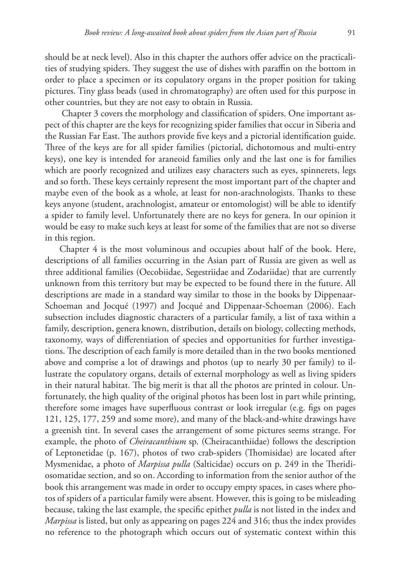should be at neck level). Also in this chapter the authors offer advice on the practicalities of studying spiders. They suggest the use of dishes with paraffin on the bottom in order to place a specimen or its copulatory organs in the proper position for taking pictures. Tiny glass beads (used in chromatography) are often used for this purpose in other countries, but they are not easy to obtain in Russia.

 Chapter 3 covers the morphology and classification of spiders. One important aspect of this chapter are the keys for recognizing spider families that occur in Siberia and the Russian Far East. The authors provide five keys and a pictorial identification guide. Three of the keys are for all spider families (pictorial, dichotomous and multi-entry keys), one key is intended for araneoid families only and the last one is for families which are poorly recognized and utilizes easy characters such as eyes, spinnerets, legs and so forth. These keys certainly represent the most important part of the chapter and maybe even of the book as a whole, at least for non-arachnologists. Thanks to these keys anyone (student, arachnologist, amateur or entomologist) will be able to identify a spider to family level. Unfortunately there are no keys for genera. In our opinion it would be easy to make such keys at least for some of the families that are not so diverse in this region.

Chapter 4 is the most voluminous and occupies about half of the book. Here, descriptions of all families occurring in the Asian part of Russia are given as well as three additional families (Oecobiidae, Segestriidae and Zodariidae) that are currently unknown from this territory but may be expected to be found there in the future. All descriptions are made in a standard way similar to those in the books by Dippenaar-Schoeman and Jocqué (1997) and Jocqué and Dippenaar-Schoeman (2006). Each subsection includes diagnostic characters of a particular family, a list of taxa within a family, description, genera known, distribution, details on biology, collecting methods, taxonomy, ways of differentiation of species and opportunities for further investigations. The description of each family is more detailed than in the two books mentioned above and comprise a lot of drawings and photos (up to nearly 30 per family) to illustrate the copulatory organs, details of external morphology as well as living spiders in their natural habitat. The big merit is that all the photos are printed in colour. Unfortunately, the high quality of the original photos has been lost in part while printing, therefore some images have superfluous contrast or look irregular (e.g. figs on pages 121, 125, 177, 259 and some more), and many of the black-and-white drawings have a greenish tint. In several cases the arrangement of some pictures seems strange. For example, the photo of *Cheiracanthium* sp. (Cheiracanthiidae) follows the description of Leptonetidae (p. 167), photos of two crab-spiders (Thomisidae) are located after Mysmenidae, a photo of *Marpissa pulla* (Salticidae) occurs on p. 249 in the Theridiosomatidae section, and so on. According to information from the senior author of the book this arrangement was made in order to occupy empty spaces, in cases where photos of spiders of a particular family were absent. However, this is going to be misleading because, taking the last example, the specific epithet *pulla* is not listed in the index and *Marpissa* is listed, but only as appearing on pages 224 and 316; thus the index provides no reference to the photograph which occurs out of systematic context within this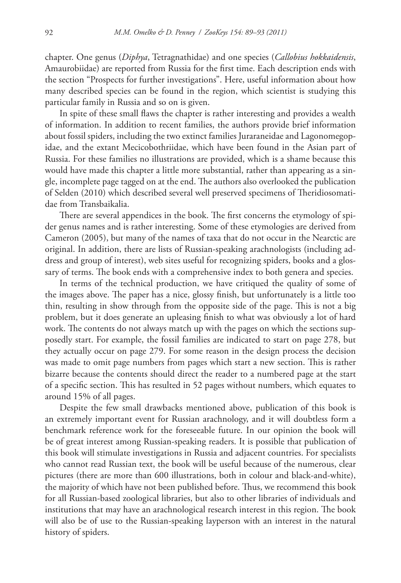chapter. One genus (*Diphya*, Tetragnathidae) and one species (*Callobius hokkaidensis*, Amaurobiidae) are reported from Russia for the first time. Each description ends with the section "Prospects for further investigations". Here, useful information about how many described species can be found in the region, which scientist is studying this particular family in Russia and so on is given.

In spite of these small flaws the chapter is rather interesting and provides a wealth of information. In addition to recent families, the authors provide brief information about fossil spiders, including the two extinct families Juraraneidae and Lagonomegopidae, and the extant Mecicobothriidae, which have been found in the Asian part of Russia. For these families no illustrations are provided, which is a shame because this would have made this chapter a little more substantial, rather than appearing as a single, incomplete page tagged on at the end. The authors also overlooked the publication of Selden (2010) which described several well preserved specimens of Theridiosomatidae from Transbaikalia.

There are several appendices in the book. The first concerns the etymology of spider genus names and is rather interesting. Some of these etymologies are derived from Cameron (2005), but many of the names of taxa that do not occur in the Nearctic are original. In addition, there are lists of Russian-speaking arachnologists (including address and group of interest), web sites useful for recognizing spiders, books and a glossary of terms. The book ends with a comprehensive index to both genera and species.

In terms of the technical production, we have critiqued the quality of some of the images above. The paper has a nice, glossy finish, but unfortunately is a little too thin, resulting in show through from the opposite side of the page. This is not a big problem, but it does generate an upleasing finish to what was obviously a lot of hard work. The contents do not always match up with the pages on which the sections supposedly start. For example, the fossil families are indicated to start on page 278, but they actually occur on page 279. For some reason in the design process the decision was made to omit page numbers from pages which start a new section. This is rather bizarre because the contents should direct the reader to a numbered page at the start of a specific section. This has resulted in 52 pages without numbers, which equates to around 15% of all pages.

Despite the few small drawbacks mentioned above, publication of this book is an extremely important event for Russian arachnology, and it will doubtless form a benchmark reference work for the foreseeable future. In our opinion the book will be of great interest among Russian-speaking readers. It is possible that publication of this book will stimulate investigations in Russia and adjacent countries. For specialists who cannot read Russian text, the book will be useful because of the numerous, clear pictures (there are more than 600 illustrations, both in colour and black-and-white), the majority of which have not been published before. Thus, we recommend this book for all Russian-based zoological libraries, but also to other libraries of individuals and institutions that may have an arachnological research interest in this region. The book will also be of use to the Russian-speaking layperson with an interest in the natural history of spiders.